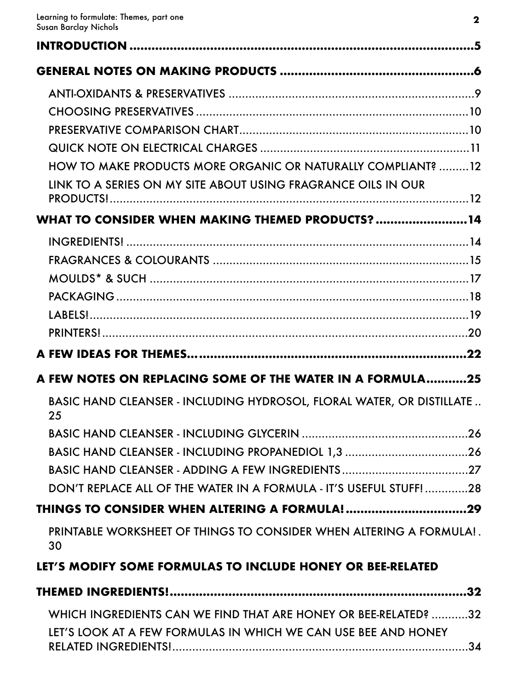<span id="page-0-38"></span><span id="page-0-37"></span><span id="page-0-36"></span><span id="page-0-35"></span><span id="page-0-34"></span><span id="page-0-33"></span><span id="page-0-32"></span><span id="page-0-31"></span><span id="page-0-30"></span><span id="page-0-29"></span><span id="page-0-28"></span><span id="page-0-27"></span><span id="page-0-26"></span><span id="page-0-25"></span><span id="page-0-24"></span><span id="page-0-23"></span><span id="page-0-22"></span><span id="page-0-21"></span><span id="page-0-20"></span><span id="page-0-19"></span><span id="page-0-18"></span><span id="page-0-17"></span><span id="page-0-16"></span><span id="page-0-15"></span><span id="page-0-14"></span><span id="page-0-13"></span><span id="page-0-12"></span><span id="page-0-11"></span><span id="page-0-10"></span><span id="page-0-9"></span><span id="page-0-8"></span><span id="page-0-7"></span><span id="page-0-6"></span><span id="page-0-5"></span><span id="page-0-4"></span><span id="page-0-3"></span><span id="page-0-2"></span><span id="page-0-1"></span><span id="page-0-0"></span>

| HOW TO MAKE PRODUCTS MORE ORGANIC OR NATURALLY COMPLIANT? 12                       |     |
|------------------------------------------------------------------------------------|-----|
| LINK TO A SERIES ON MY SITE ABOUT USING FRAGRANCE OILS IN OUR                      |     |
|                                                                                    |     |
| WHAT TO CONSIDER WHEN MAKING THEMED PRODUCTS?14                                    |     |
|                                                                                    |     |
|                                                                                    |     |
|                                                                                    |     |
|                                                                                    |     |
|                                                                                    |     |
|                                                                                    |     |
|                                                                                    | 22  |
| A FEW NOTES ON REPLACING SOME OF THE WATER IN A FORMULA25                          |     |
| <b>BASIC HAND CLEANSER - INCLUDING HYDROSOL, FLORAL WATER, OR DISTILLATE</b><br>25 |     |
|                                                                                    |     |
| BASIC HAND CLEANSER - INCLUDING PROPANEDIOL 1,3 26                                 |     |
|                                                                                    |     |
| DON'T REPLACE ALL OF THE WATER IN A FORMULA - IT'S USEFUL STUFF!28                 |     |
|                                                                                    |     |
| PRINTABLE WORKSHEET OF THINGS TO CONSIDER WHEN ALTERING A FORMULA!.<br>30          |     |
| LET'S MODIFY SOME FORMULAS TO INCLUDE HONEY OR BEE-RELATED                         |     |
|                                                                                    | .32 |
| WHICH INGREDIENTS CAN WE FIND THAT ARE HONEY OR BEE-RELATED? 32                    |     |
| LET'S LOOK AT A FEW FORMULAS IN WHICH WE CAN USE BEE AND HONEY                     |     |
| RELATED INGREDIENTS!                                                               | .34 |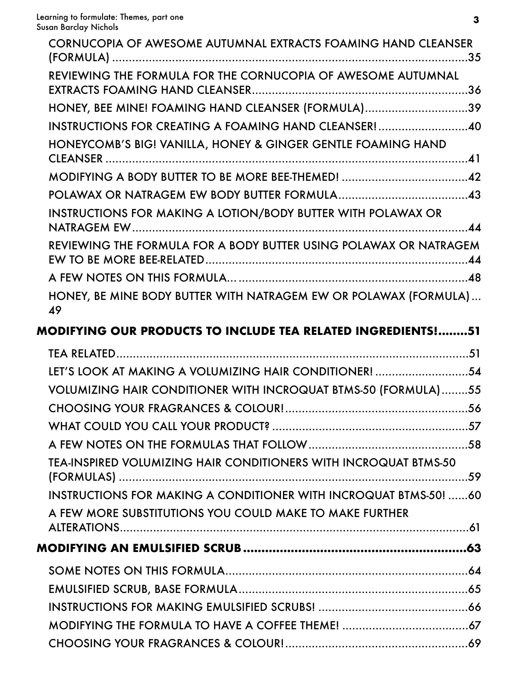| CORNUCOPIA OF AWESOME AUTUMNAL EXTRACTS FOAMING HAND CLEANSER          |  |
|------------------------------------------------------------------------|--|
| REVIEWING THE FORMULA FOR THE CORNUCOPIA OF AWESOME AUTUMNAL           |  |
| HONEY, BEE MINE! FOAMING HAND CLEANSER (FORMULA)39                     |  |
| INSTRUCTIONS FOR CREATING A FOAMING HAND CLEANSER!40                   |  |
| HONEYCOMB'S BIG! VANILLA, HONEY & GINGER GENTLE FOAMING HAND           |  |
|                                                                        |  |
|                                                                        |  |
| <b>INSTRUCTIONS FOR MAKING A LOTION/BODY BUTTER WITH POLAWAX OR</b>    |  |
| REVIEWING THE FORMULA FOR A BODY BUTTER USING POLAWAX OR NATRAGEM      |  |
|                                                                        |  |
| HONEY, BE MINE BODY BUTTER WITH NATRAGEM EW OR POLAWAX (FORMULA)<br>49 |  |

## **[MODIFYING OUR PRODUCTS TO INCLUDE TEA RELATED INGREDIENTS!........51](#page-0-10)**

| LET'S LOOK AT MAKING A VOLUMIZING HAIR CONDITIONER! 54                  |  |
|-------------------------------------------------------------------------|--|
| <b>VOLUMIZING HAIR CONDITIONER WITH INCROQUAT BTMS-50 (FORMULA)55</b>   |  |
|                                                                         |  |
|                                                                         |  |
|                                                                         |  |
| <b>TEA-INSPIRED VOLUMIZING HAIR CONDITIONERS WITH INCROQUAT BTMS-50</b> |  |
| <b>INSTRUCTIONS FOR MAKING A CONDITIONER WITH INCROQUAT BTMS-50! 60</b> |  |
| A FEW MORE SUBSTITUTIONS YOU COULD MAKE TO MAKE FURTHER                 |  |
|                                                                         |  |
|                                                                         |  |
|                                                                         |  |
|                                                                         |  |
|                                                                         |  |
|                                                                         |  |
|                                                                         |  |